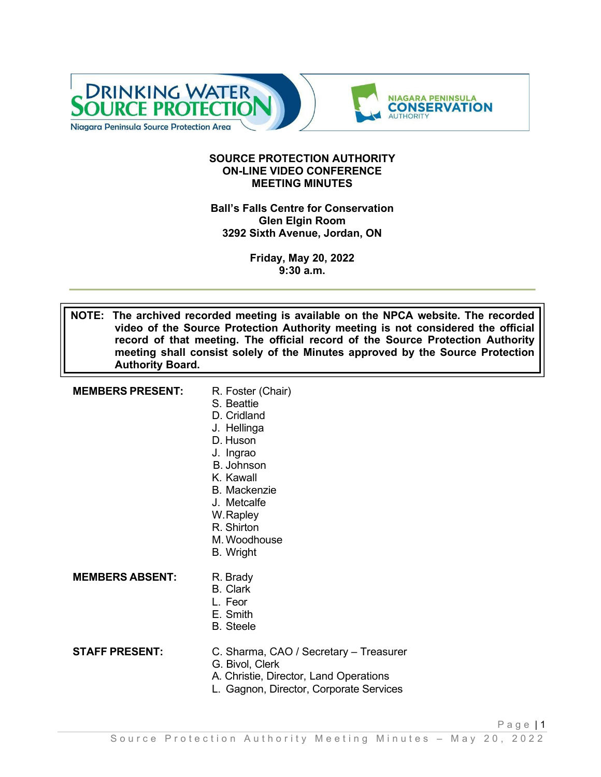

#### **SOURCE PROTECTION AUTHORITY ON-LINE VIDEO CONFERENCE MEETING MINUTES**

#### **Ball's Falls Centre for Conservation Glen Elgin Room 3292 Sixth Avenue, Jordan, ON**

**Friday, May 20, 2022 9:30 a.m.**

**NOTE: The archived recorded meeting is available on the NPCA website. The recorded video of the Source Protection Authority meeting is not considered the official record of that meeting. The official record of the Source Protection Authority meeting shall consist solely of the Minutes approved by the Source Protection Authority Board.**

| <b>MEMBERS PRESENT:</b> | R. Foster (Chair)<br>S. Beattie<br>D. Cridland<br>J. Hellinga<br>D. Huson<br>J. Ingrao<br>B. Johnson<br>K. Kawall<br><b>B.</b> Mackenzie<br>J. Metcalfe<br>W.Rapley<br>R. Shirton<br>M. Woodhouse<br><b>B.</b> Wright |
|-------------------------|-----------------------------------------------------------------------------------------------------------------------------------------------------------------------------------------------------------------------|
| <b>MEMBERS ABSENT:</b>  | R. Brady<br><b>B.</b> Clark<br>L. Feor<br>E. Smith<br><b>B.</b> Steele                                                                                                                                                |
| <b>STAFF PRESENT:</b>   | C. Sharma, CAO / Secretary - Treasurer<br>G. Bivol, Clerk<br>A. Christie, Director, Land Operations<br>L. Gagnon, Director, Corporate Services                                                                        |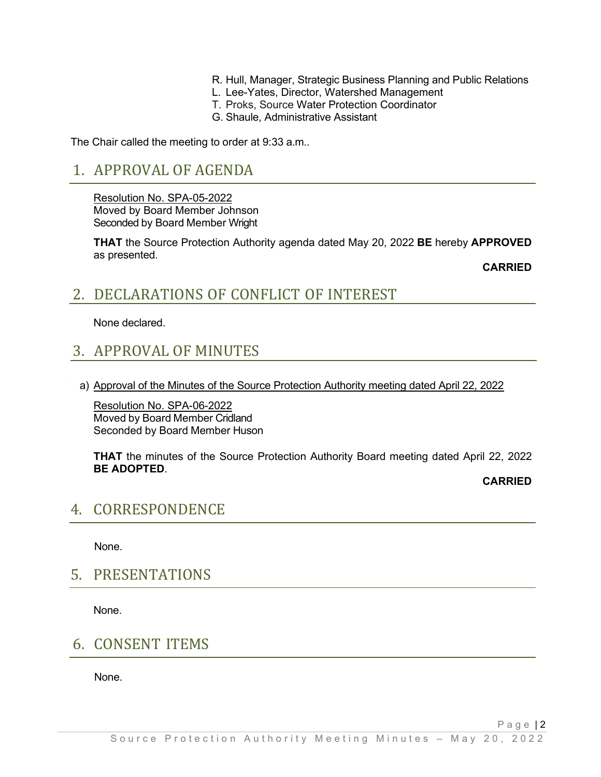- R. Hull, Manager, Strategic Business Planning and Public Relations
- L. Lee-Yates, Director, Watershed Management
- T. Proks, Source Water Protection Coordinator
- G. Shaule, Administrative Assistant

The Chair called the meeting to order at 9:33 a.m..

### 1. APPROVAL OF AGENDA

Resolution No. SPA-05-2022 Moved by Board Member Johnson Seconded by Board Member Wright

**THAT** the Source Protection Authority agenda dated May 20, 2022 **BE** hereby **APPROVED**  as presented.

**CARRIED**

### 2. DECLARATIONS OF CONFLICT OF INTEREST

None declared.

# 3. APPROVAL OF MINUTES

a) Approval of the Minutes of the Source Protection Authority meeting dated April 22, 2022

Resolution No. SPA-06-2022 Moved by Board Member Cridland Seconded by Board Member Huson

**THAT** the minutes of the Source Protection Authority Board meeting dated April 22, 2022 **BE ADOPTED**.

**CARRIED**

Page | 2

#### 4. CORRESPONDENCE

None.

5. PRESENTATIONS

None.

### 6. CONSENT ITEMS

None.